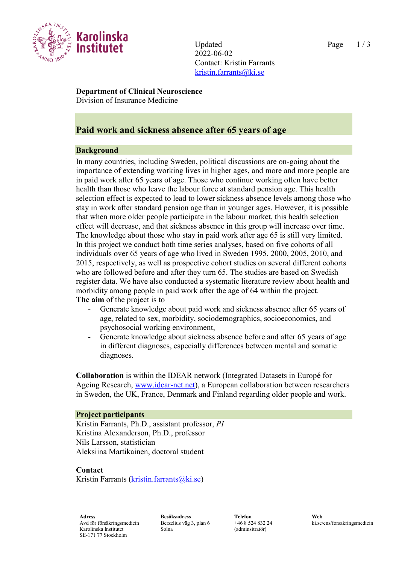

Updated Page 1/3 2022-06-02 Contact: Kristin Farrants [kristin.farrants@ki.se](mailto:kristin.farrants@ki.se)

**Department of Clinical Neuroscience**

Division of Insurance Medicine

# **Paid work and sickness absence after 65 years of age**

# **Background**

In many countries, including Sweden, political discussions are on-going about the importance of extending working lives in higher ages, and more and more people are in paid work after 65 years of age. Those who continue working often have better health than those who leave the labour force at standard pension age. This health selection effect is expected to lead to lower sickness absence levels among those who stay in work after standard pension age than in younger ages. However, it is possible that when more older people participate in the labour market, this health selection effect will decrease, and that sickness absence in this group will increase over time. The knowledge about those who stay in paid work after age 65 is still very limited. In this project we conduct both time series analyses, based on five cohorts of all individuals over 65 years of age who lived in Sweden 1995, 2000, 2005, 2010, and 2015, respectively, as well as prospective cohort studies on several different cohorts who are followed before and after they turn 65. The studies are based on Swedish register data. We have also conducted a systematic literature review about health and morbidity among people in paid work after the age of 64 within the project. **The aim** of the project is to

- Generate knowledge about paid work and sickness absence after 65 years of age, related to sex, morbidity, sociodemographics, socioeconomics, and psychosocial working environment,
- Generate knowledge about sickness absence before and after 65 years of age in different diagnoses, especially differences between mental and somatic diagnoses.

**Collaboration** is within the IDEAR network (Integrated Datasets in Europé for Ageing Research, [www.idear-net.net\)](http://www.idear-net.net/), a European collaboration between researchers in Sweden, the UK, France, Denmark and Finland regarding older people and work.

## **Project participants**

Kristin Farrants, Ph.D., assistant professor, *PI* Kristina Alexanderson, Ph.D., professor Nils Larsson, statistician Aleksiina Martikainen, doctoral student

## **Contact**

Kristin Farrants ( $k$ ristin.farrants $@k$ i.se)

**Adress Besöksadress Telefon Web** Avd för försäkringsmedicin Karolinska Institutet SE-171 77 Stockholm

Berzelius väg 3, plan 6 Solna

+46 8 524 832 24 (adminsitratör)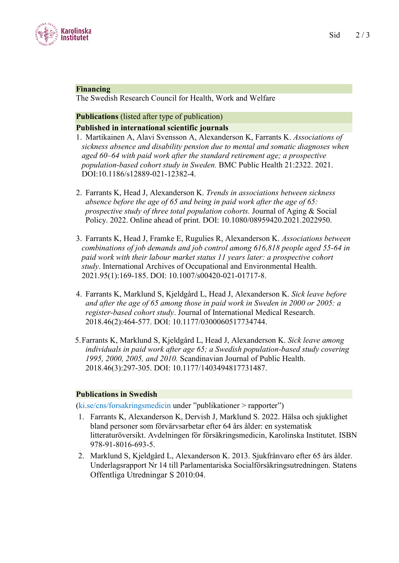

#### **Financing**

The Swedish Research Council for Health, Work and Welfare

# **Publications** (listed after type of publication)

## **Published in international scientific journals**

- 1. Martikainen A, Alavi Svensson A, Alexanderson K, Farrants K. *Associations of sickness absence and disability pension due to mental and somatic diagnoses when aged 60–64 with paid work after the standard retirement age; a prospective population-based cohort study in Sweden.* BMC Public Health 21:2322. 2021. DOI:10.1186/s12889-021-12382-4.
- 2. Farrants K, Head J, Alexanderson K. *Trends in associations between sickness absence before the age of 65 and being in paid work after the age of 65: prospective study of three total population cohorts.* Journal of Aging & Social Policy. 2022. Online ahead of print. DOI: 10.1080/08959420.2021.2022950.
- 3. Farrants K, Head J, Framke E, Rugulies R, Alexanderson K. *Associations between combinations of job demands and job control among 616,818 people aged 55-64 in paid work with their labour market status 11 years later: a prospective cohort study*. International Archives of Occupational and Environmental Health. 2021.95(1):169-185. DOI: 10.1007/s00420-021-01717-8.
- 4. Farrants K, Marklund S, Kjeldgård L, Head J, Alexanderson K. *Sick leave before and after the age of 65 among those in paid work in Sweden in 2000 or 2005: a register-based cohort study*. Journal of International Medical Research. 2018.46(2):464-577. DOI: 10.1177/0300060517734744.
- 5.Farrants K, Marklund S, Kjeldgård L, Head J, Alexanderson K. *Sick leave among individuals in paid work after age 65; a Swedish population-based study covering 1995, 2000, 2005, and 2010.* Scandinavian Journal of Public Health. 2018.46(3):297-305. DOI: 10.1177/1403494817731487.

## **Publications in Swedish**

(ki.se/cns/forsakringsmedicin under "publikationer > rapporter")

- 1. Farrants K, Alexanderson K, Dervish J, Marklund S. 2022. Hälsa och sjuklighet bland personer som förvärvsarbetar efter 64 års ålder: en systematisk litteraturöversikt. Avdelningen för försäkringsmedicin, Karolinska Institutet. ISBN 978-91-8016-693-5.
- 2. Marklund S, Kjeldgård L, Alexanderson K. 2013. Sjukfrånvaro efter 65 års ålder. Underlagsrapport Nr 14 till Parlamentariska Socialförsäkringsutredningen. Statens Offentliga Utredningar S 2010:04.